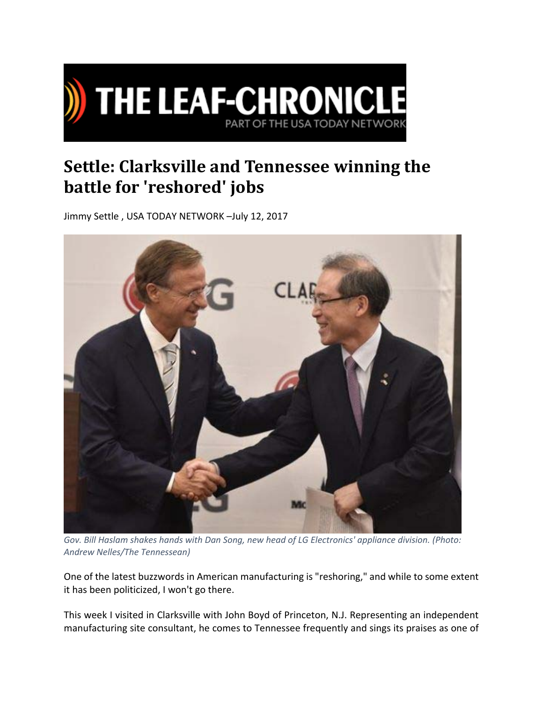

## **Settle: Clarksville and Tennessee winning the battle for 'reshored' jobs**

Jimmy Settle , USA TODAY NETWORK –July 12, 2017



*Gov. Bill Haslam shakes hands with Dan Song, new head of LG Electronics' appliance division. (Photo: Andrew Nelles/The Tennessean)*

One of the latest buzzwords in American manufacturing is "reshoring," and while to some extent it has been politicized, I won't go there.

This week I visited in Clarksville with John Boyd of Princeton, N.J. Representing an independent manufacturing site consultant, he comes to Tennessee frequently and sings its praises as one of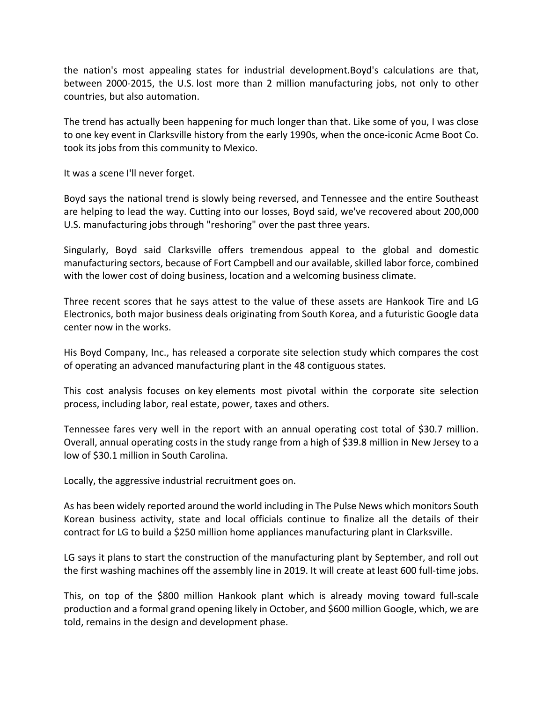the nation's most appealing states for industrial development.Boyd's calculations are that, between 2000‐2015, the U.S. lost more than 2 million manufacturing jobs, not only to other countries, but also automation.

The trend has actually been happening for much longer than that. Like some of you, I was close to one key event in Clarksville history from the early 1990s, when the once‐iconic Acme Boot Co. took its jobs from this community to Mexico.

It was a scene I'll never forget.

Boyd says the national trend is slowly being reversed, and Tennessee and the entire Southeast are helping to lead the way. Cutting into our losses, Boyd said, we've recovered about 200,000 U.S. manufacturing jobs through "reshoring" over the past three years.

Singularly, Boyd said Clarksville offers tremendous appeal to the global and domestic manufacturing sectors, because of Fort Campbell and our available, skilled labor force, combined with the lower cost of doing business, location and a welcoming business climate.

Three recent scores that he says attest to the value of these assets are Hankook Tire and LG Electronics, both major business deals originating from South Korea, and a futuristic Google data center now in the works.

His Boyd Company, Inc., has released a corporate site selection study which compares the cost of operating an advanced manufacturing plant in the 48 contiguous states.

This cost analysis focuses on key elements most pivotal within the corporate site selection process, including labor, real estate, power, taxes and others.

Tennessee fares very well in the report with an annual operating cost total of \$30.7 million. Overall, annual operating costs in the study range from a high of \$39.8 million in New Jersey to a low of \$30.1 million in South Carolina.

Locally, the aggressive industrial recruitment goes on.

As has been widely reported around the world including in The Pulse News which monitors South Korean business activity, state and local officials continue to finalize all the details of their contract for LG to build a \$250 million home appliances manufacturing plant in Clarksville.

LG says it plans to start the construction of the manufacturing plant by September, and roll out the first washing machines off the assembly line in 2019. It will create at least 600 full-time jobs.

This, on top of the \$800 million Hankook plant which is already moving toward full‐scale production and a formal grand opening likely in October, and \$600 million Google, which, we are told, remains in the design and development phase.